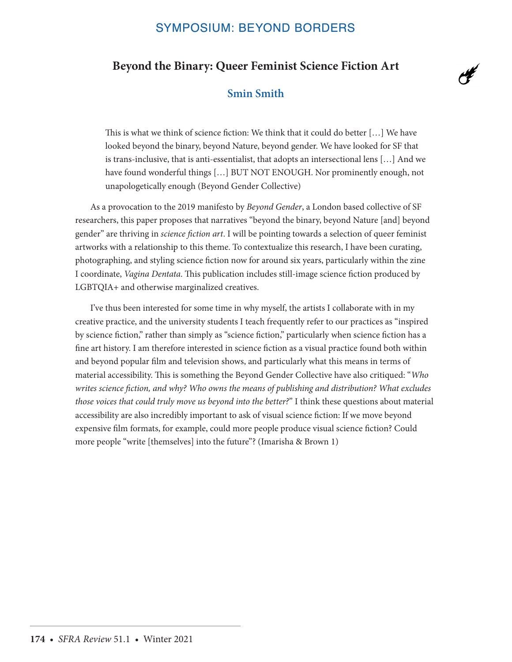# SYMPOSIUM: BEYOND BORDERS

# **Beyond the Binary: Queer Feminist Science Fiction Art**

 $\overline{d}$ 

# **Smin Smith**

This is what we think of science fiction: We think that it could do better […] We have looked beyond the binary, beyond Nature, beyond gender. We have looked for SF that is trans-inclusive, that is anti-essentialist, that adopts an intersectional lens […] And we have found wonderful things […] BUT NOT ENOUGH. Nor prominently enough, not unapologetically enough (Beyond Gender Collective)

As a provocation to the 2019 manifesto by *Beyond Gender*, a London based collective of SF researchers, this paper proposes that narratives "beyond the binary, beyond Nature [and] beyond gender" are thriving in *science fiction art*. I will be pointing towards a selection of queer feminist artworks with a relationship to this theme. To contextualize this research, I have been curating, photographing, and styling science fiction now for around six years, particularly within the zine I coordinate, *Vagina Dentata*. This publication includes still-image science fiction produced by LGBTQIA+ and otherwise marginalized creatives.

I've thus been interested for some time in why myself, the artists I collaborate with in my creative practice, and the university students I teach frequently refer to our practices as "inspired by science fiction," rather than simply as "science fiction," particularly when science fiction has a fine art history. I am therefore interested in science fiction as a visual practice found both within and beyond popular film and television shows, and particularly what this means in terms of material accessibility. This is something the Beyond Gender Collective have also critiqued: "*Who writes science fiction, and why? Who owns the means of publishing and distribution? What excludes those voices that could truly move us beyond into the better?*" I think these questions about material accessibility are also incredibly important to ask of visual science fiction: If we move beyond expensive film formats, for example, could more people produce visual science fiction? Could more people "write [themselves] into the future"? (Imarisha & Brown 1)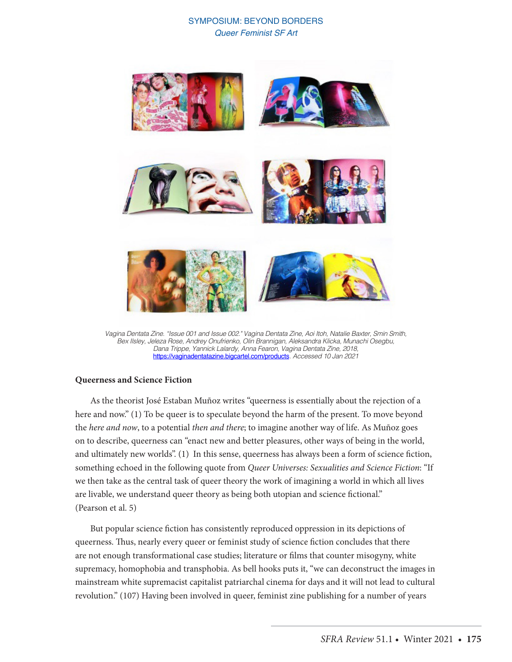

*Vagina Dentata Zine. "Issue 001 and Issue 002." Vagina Dentata Zine, Aoi Itoh, Natalie Baxter, Smin Smith, Bex Ilsley, Jeleza Rose, Andrey Onufrienko, Olin Brannigan, Aleksandra Klicka, Munachi Osegbu, Dana Trippe, Yannick Lalardy, Anna Fearon, Vagina Dentata Zine, 2018,*  https://vaginadentatazine.bigcartel.com/products*. Accessed 10 Jan 2021*

#### **Queerness and Science Fiction**

As the theorist José Estaban Muñoz writes "queerness is essentially about the rejection of a here and now." (1) To be queer is to speculate beyond the harm of the present. To move beyond the *here and now*, to a potential *then and there*; to imagine another way of life. As Muñoz goes on to describe, queerness can "enact new and better pleasures, other ways of being in the world, and ultimately new worlds". (1) In this sense, queerness has always been a form of science fiction, something echoed in the following quote from *Queer Universes: Sexualities and Science Fiction*: "If we then take as the central task of queer theory the work of imagining a world in which all lives are livable, we understand queer theory as being both utopian and science fictional." (Pearson et al. 5)

But popular science fiction has consistently reproduced oppression in its depictions of queerness. Thus, nearly every queer or feminist study of science fiction concludes that there are not enough transformational case studies; literature or films that counter misogyny, white supremacy, homophobia and transphobia. As bell hooks puts it, "we can deconstruct the images in mainstream white supremacist capitalist patriarchal cinema for days and it will not lead to cultural revolution." (107) Having been involved in queer, feminist zine publishing for a number of years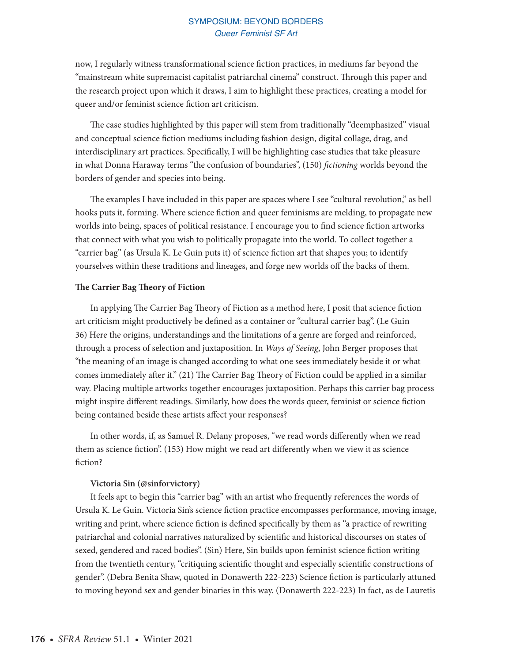now, I regularly witness transformational science fiction practices, in mediums far beyond the "mainstream white supremacist capitalist patriarchal cinema" construct. Through this paper and the research project upon which it draws, I aim to highlight these practices, creating a model for queer and/or feminist science fiction art criticism.

The case studies highlighted by this paper will stem from traditionally "deemphasized" visual and conceptual science fiction mediums including fashion design, digital collage, drag, and interdisciplinary art practices. Specifically, I will be highlighting case studies that take pleasure in what Donna Haraway terms "the confusion of boundaries", (150) *fictioning* worlds beyond the borders of gender and species into being.

The examples I have included in this paper are spaces where I see "cultural revolution," as bell hooks puts it, forming. Where science fiction and queer feminisms are melding, to propagate new worlds into being, spaces of political resistance. I encourage you to find science fiction artworks that connect with what you wish to politically propagate into the world. To collect together a "carrier bag" (as Ursula K. Le Guin puts it) of science fiction art that shapes you; to identify yourselves within these traditions and lineages, and forge new worlds off the backs of them.

#### **The Carrier Bag Theory of Fiction**

In applying The Carrier Bag Theory of Fiction as a method here, I posit that science fiction art criticism might productively be defined as a container or "cultural carrier bag". (Le Guin 36) Here the origins, understandings and the limitations of a genre are forged and reinforced, through a process of selection and juxtaposition. In *Ways of Seeing*, John Berger proposes that "the meaning of an image is changed according to what one sees immediately beside it or what comes immediately after it." (21) The Carrier Bag Theory of Fiction could be applied in a similar way. Placing multiple artworks together encourages juxtaposition. Perhaps this carrier bag process might inspire different readings. Similarly, how does the words queer, feminist or science fiction being contained beside these artists affect your responses?

In other words, if, as Samuel R. Delany proposes, "we read words differently when we read them as science fiction". (153) How might we read art differently when we view it as science fiction?

#### **Victoria Sin (@sinforvictory)**

It feels apt to begin this "carrier bag" with an artist who frequently references the words of Ursula K. Le Guin. Victoria Sin's science fiction practice encompasses performance, moving image, writing and print, where science fiction is defined specifically by them as "a practice of rewriting patriarchal and colonial narratives naturalized by scientific and historical discourses on states of sexed, gendered and raced bodies". (Sin) Here, Sin builds upon feminist science fiction writing from the twentieth century, "critiquing scientific thought and especially scientific constructions of gender". (Debra Benita Shaw, quoted in Donawerth 222-223) Science fiction is particularly attuned to moving beyond sex and gender binaries in this way. (Donawerth 222-223) In fact, as de Lauretis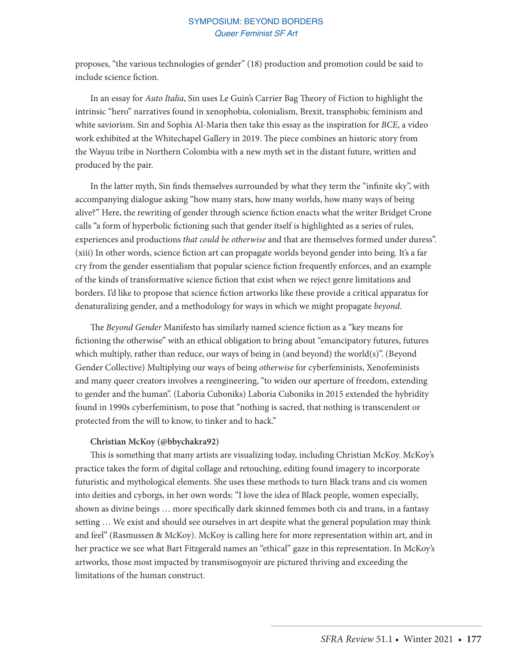proposes, "the various technologies of gender" (18) production and promotion could be said to include science fiction.

In an essay for *Auto Italia*, Sin uses Le Guin's Carrier Bag Theory of Fiction to highlight the intrinsic "hero" narratives found in xenophobia, colonialism, Brexit, transphobic feminism and white saviorism. Sin and Sophia Al-Maria then take this essay as the inspiration for *BCE*, a video work exhibited at the Whitechapel Gallery in 2019. The piece combines an historic story from the Wayuu tribe in Northern Colombia with a new myth set in the distant future, written and produced by the pair.

In the latter myth, Sin finds themselves surrounded by what they term the "infinite sky", with accompanying dialogue asking "how many stars, how many worlds, how many ways of being alive?" Here, the rewriting of gender through science fiction enacts what the writer Bridget Crone calls "a form of hyperbolic fictioning such that gender itself is highlighted as a series of rules, experiences and productions *that could be otherwise* and that are themselves formed under duress". (xiii) In other words, science fiction art can propagate worlds beyond gender into being. It's a far cry from the gender essentialism that popular science fiction frequently enforces, and an example of the kinds of transformative science fiction that exist when we reject genre limitations and borders. I'd like to propose that science fiction artworks like these provide a critical apparatus for denaturalizing gender, and a methodology for ways in which we might propagate *beyond*.

The *Beyond Gender* Manifesto has similarly named science fiction as a "key means for fictioning the otherwise" with an ethical obligation to bring about "emancipatory futures, futures which multiply, rather than reduce, our ways of being in (and beyond) the world(s)". (Beyond Gender Collective) Multiplying our ways of being *otherwise* for cyberfeminists, Xenofeminists and many queer creators involves a reengineering, "to widen our aperture of freedom, extending to gender and the human". (Laboria Cuboniks) Laboria Cuboniks in 2015 extended the hybridity found in 1990s cyberfeminism, to pose that "nothing is sacred, that nothing is transcendent or protected from the will to know, to tinker and to hack."

#### **Christian McKoy (@bbychakra92)**

This is something that many artists are visualizing today, including Christian McKoy. McKoy's practice takes the form of digital collage and retouching, editing found imagery to incorporate futuristic and mythological elements. She uses these methods to turn Black trans and cis women into deities and cyborgs, in her own words: "I love the idea of Black people, women especially, shown as divine beings … more specifically dark skinned femmes both cis and trans, in a fantasy setting … We exist and should see ourselves in art despite what the general population may think and feel" (Rasmussen & McKoy). McKoy is calling here for more representation within art, and in her practice we see what Bart Fitzgerald names an "ethical" gaze in this representation. In McKoy's artworks, those most impacted by transmisognyoir are pictured thriving and exceeding the limitations of the human construct.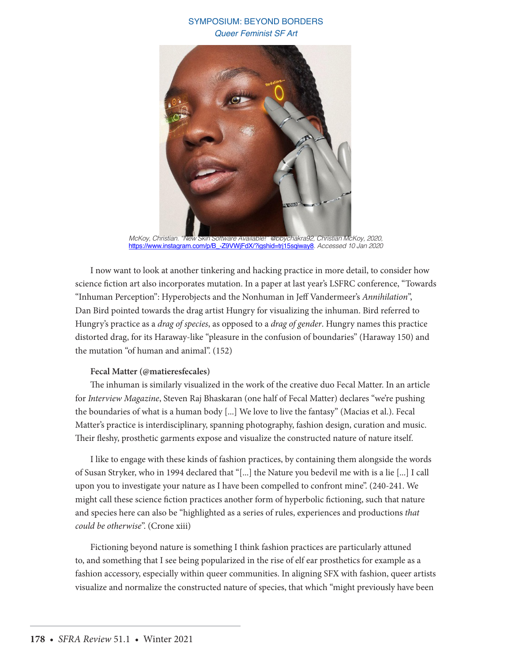

*McKoy, Christian. "New Skin Software Available!" @bbychakra92, Christian McKoy, 2020,*  https://www.instagram.com/p/B\_-Z9VWjFdX/?igshid=trj15sqiway8*. Accessed 10 Jan 2020*

I now want to look at another tinkering and hacking practice in more detail, to consider how science fiction art also incorporates mutation. In a paper at last year's LSFRC conference, "Towards "Inhuman Perception": Hyperobjects and the Nonhuman in Jeff Vandermeer's *Annihilation*", Dan Bird pointed towards the drag artist Hungry for visualizing the inhuman. Bird referred to Hungry's practice as a *drag of species*, as opposed to a *drag of gender*. Hungry names this practice distorted drag, for its Haraway-like "pleasure in the confusion of boundaries" (Haraway 150) and the mutation "of human and animal". (152)

## **Fecal Matter (@matieresfecales)**

The inhuman is similarly visualized in the work of the creative duo Fecal Matter. In an article for *Interview Magazine*, Steven Raj Bhaskaran (one half of Fecal Matter) declares "we're pushing the boundaries of what is a human body [...] We love to live the fantasy" (Macias et al.). Fecal Matter's practice is interdisciplinary, spanning photography, fashion design, curation and music. Their fleshy, prosthetic garments expose and visualize the constructed nature of nature itself.

I like to engage with these kinds of fashion practices, by containing them alongside the words of Susan Stryker, who in 1994 declared that "[...] the Nature you bedevil me with is a lie [...] I call upon you to investigate your nature as I have been compelled to confront mine". (240-241. We might call these science fiction practices another form of hyperbolic fictioning, such that nature and species here can also be "highlighted as a series of rules, experiences and productions *that could be otherwise*". (Crone xiii)

Fictioning beyond nature is something I think fashion practices are particularly attuned to, and something that I see being popularized in the rise of elf ear prosthetics for example as a fashion accessory, especially within queer communities. In aligning SFX with fashion, queer artists visualize and normalize the constructed nature of species, that which "might previously have been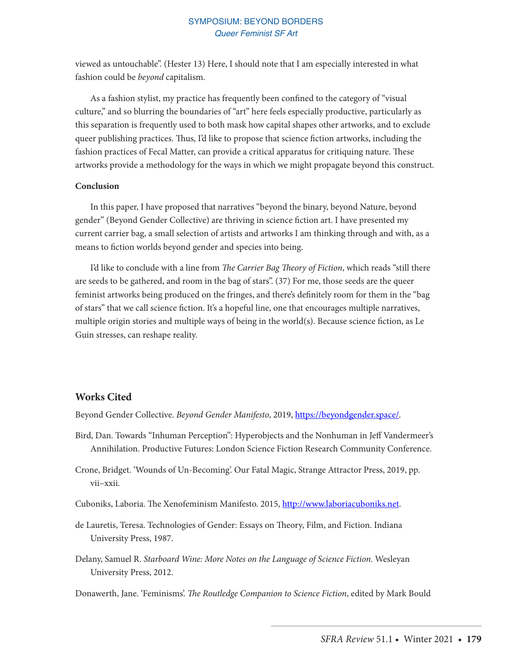viewed as untouchable". (Hester 13) Here, I should note that I am especially interested in what fashion could be *beyond* capitalism.

As a fashion stylist, my practice has frequently been confined to the category of "visual culture," and so blurring the boundaries of "art" here feels especially productive, particularly as this separation is frequently used to both mask how capital shapes other artworks, and to exclude queer publishing practices. Thus, I'd like to propose that science fiction artworks, including the fashion practices of Fecal Matter, can provide a critical apparatus for critiquing nature. These artworks provide a methodology for the ways in which we might propagate beyond this construct.

#### **Conclusion**

In this paper, I have proposed that narratives "beyond the binary, beyond Nature, beyond gender" (Beyond Gender Collective) are thriving in science fiction art. I have presented my current carrier bag, a small selection of artists and artworks I am thinking through and with, as a means to fiction worlds beyond gender and species into being.

I'd like to conclude with a line from *The Carrier Bag Theory of Fiction*, which reads "still there are seeds to be gathered, and room in the bag of stars". (37) For me, those seeds are the queer feminist artworks being produced on the fringes, and there's definitely room for them in the "bag of stars" that we call science fiction. It's a hopeful line, one that encourages multiple narratives, multiple origin stories and multiple ways of being in the world(s). Because science fiction, as Le Guin stresses, can reshape reality.

### **Works Cited**

Beyond Gender Collective. *Beyond Gender Manifesto*, 2019, https://beyondgender.space/.

- Bird, Dan. Towards "Inhuman Perception": Hyperobjects and the Nonhuman in Jeff Vandermeer's Annihilation. Productive Futures: London Science Fiction Research Community Conference.
- Crone, Bridget. 'Wounds of Un-Becoming'. Our Fatal Magic, Strange Attractor Press, 2019, pp. vii–xxii.
- Cuboniks, Laboria. The Xenofeminism Manifesto. 2015, http://www.laboriacuboniks.net.
- de Lauretis, Teresa. Technologies of Gender: Essays on Theory, Film, and Fiction. Indiana University Press, 1987.
- Delany, Samuel R. *Starboard Wine: More Notes on the Language of Science Fiction*. Wesleyan University Press, 2012.
- Donawerth, Jane. 'Feminisms'. *The Routledge Companion to Science Fiction*, edited by Mark Bould